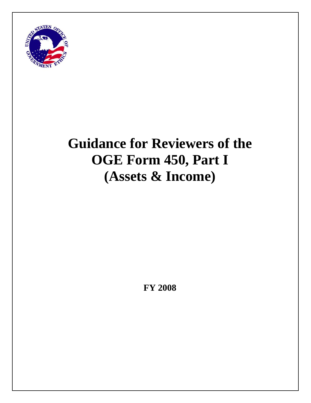

# **Guidance for Reviewers of the OGE Form 450, Part I (Assets & Income)**

**FY 2008**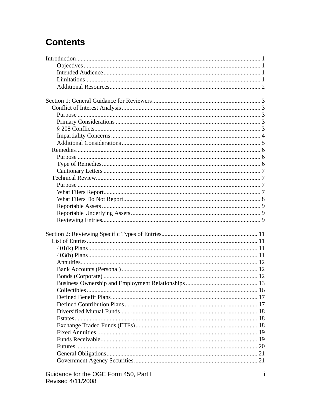## **Contents**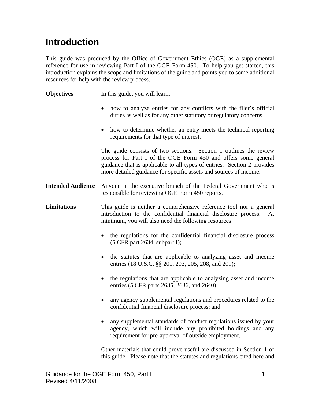### <span id="page-3-1"></span><span id="page-3-0"></span>**Introduction**

This guide was produced by the Office of Government Ethics (OGE) as a supplemental reference for use in reviewing Part I of the OGE Form 450. To help you get started, this introduction explains the scope and limitations of the guide and points you to some additional resources for help with the review process.

**Objectives** In this guide, you will learn: • how to analyze entries for any conflicts with the filer's official duties as well as for any other statutory or regulatory concerns. • how to determine whether an entry meets the technical reporting requirements for that type of interest. The guide consists of two sections. Section 1 outlines the review process for Part I of the OGE Form 450 and offers some general guidance that is applicable to all types of entries. Section 2 provides more detailed guidance for specific assets and sources of income. **Intended Audience** Anyone in the executive branch of the Federal Government who is responsible for reviewing OGE Form 450 reports. **Limitations** This guide is neither a comprehensive reference tool nor a general introduction to the confidential financial disclosure process. At minimum, you will also need the following resources: • the regulations for the confidential financial disclosure process (5 CFR part 2634, subpart I); • the statutes that are applicable to analyzing asset and income entries (18 U.S.C. §§ 201, 203, 205, 208, and 209); • the regulations that are applicable to analyzing asset and income entries (5 CFR parts 2635, 2636, and 2640); • any agency supplemental regulations and procedures related to the confidential financial disclosure process; and • any supplemental standards of conduct regulations issued by your agency, which will include any prohibited holdings and any requirement for pre-approval of outside employment. Other materials that could prove useful are discussed in Section 1 of this guide. Please note that the statutes and regulations cited here and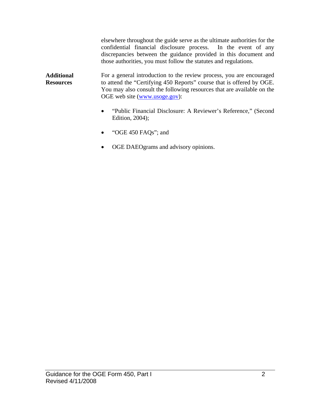elsewhere throughout the guide serve as the ultimate authorities for the confidential financial disclosure process. In the event of any discrepancies between the guidance provided in this document and those authorities, you must follow the statutes and regulations.

<span id="page-4-0"></span>**Additional Resources**  For a general introduction to the review process, you are encouraged to attend the "Certifying 450 Reports" course that is offered by OGE. You may also consult the following resources that are available on the OGE web site ([www.usoge.gov\)](http://www.usoge.gov/):

- "Public Financial Disclosure: A Reviewer's Reference," (Second Edition, 2004);
- "OGE 450 FAQs"; and
- OGE DAEOgrams and advisory opinions.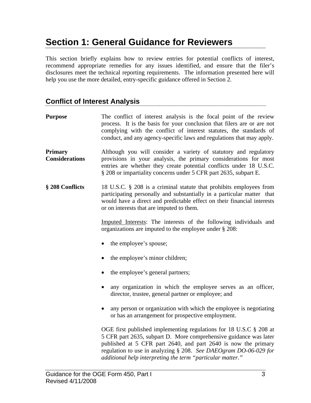### <span id="page-5-0"></span>**Section 1: General Guidance for Reviewers**

This section briefly explains how to review entries for potential conflicts of interest, recommend appropriate remedies for any issues identified, and ensure that the filer's disclosures meet the technical reporting requirements. The information presented here will help you use the more detailed, entry-specific guidance offered in Section 2.

### **Conflict of Interest Analysis**

| <b>Purpose</b>                          | The conflict of interest analysis is the focal point of the review<br>process. It is the basis for your conclusion that filers are or are not<br>complying with the conflict of interest statutes, the standards of<br>conduct, and any agency-specific laws and regulations that may apply.                                                |
|-----------------------------------------|---------------------------------------------------------------------------------------------------------------------------------------------------------------------------------------------------------------------------------------------------------------------------------------------------------------------------------------------|
| <b>Primary</b><br><b>Considerations</b> | Although you will consider a variety of statutory and regulatory<br>provisions in your analysis, the primary considerations for most<br>entries are whether they create potential conflicts under 18 U.S.C.<br>§ 208 or impartiality concerns under 5 CFR part 2635, subpart E.                                                             |
| § 208 Conflicts                         | 18 U.S.C. § 208 is a criminal statute that prohibits employees from<br>participating personally and substantially in a particular matter that<br>would have a direct and predictable effect on their financial interests<br>or on interests that are imputed to them.                                                                       |
|                                         | Imputed Interests: The interests of the following individuals and<br>organizations are imputed to the employee under § 208:                                                                                                                                                                                                                 |
|                                         | the employee's spouse;                                                                                                                                                                                                                                                                                                                      |
|                                         | the employee's minor children;                                                                                                                                                                                                                                                                                                              |
|                                         | the employee's general partners;                                                                                                                                                                                                                                                                                                            |
|                                         | any organization in which the employee serves as an officer,<br>director, trustee, general partner or employee; and                                                                                                                                                                                                                         |
|                                         | any person or organization with which the employee is negotiating<br>or has an arrangement for prospective employment.                                                                                                                                                                                                                      |
|                                         | OGE first published implementing regulations for 18 U.S.C § 208 at<br>5 CFR part 2635, subpart D. More comprehensive guidance was later<br>published at 5 CFR part 2640, and part 2640 is now the primary<br>regulation to use in analyzing § 208. See DAEOgram DO-06-029 for<br>additional help interpreting the term "particular matter." |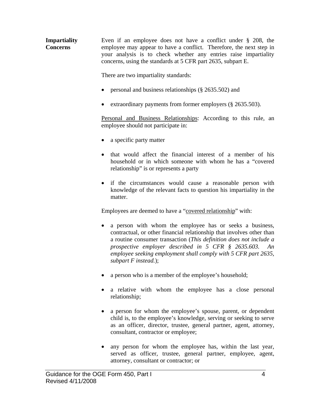<span id="page-6-0"></span>**Impartiality Concerns**  Even if an employee does not have a conflict under § 208, the employee may appear to have a conflict. Therefore, the next step in your analysis is to check whether any entries raise impartiality concerns, using the standards at 5 CFR part 2635, subpart E.

There are two impartiality standards:

- personal and business relationships (§ 2635.502) and
- extraordinary payments from former employers (§ 2635.503).

Personal and Business Relationships: According to this rule, an employee should not participate in:

- a specific party matter
- that would affect the financial interest of a member of his household or in which someone with whom he has a "covered relationship" is or represents a party
- if the circumstances would cause a reasonable person with knowledge of the relevant facts to question his impartiality in the matter.

Employees are deemed to have a "covered relationship" with:

- a person with whom the employee has or seeks a business, contractual, or other financial relationship that involves other than a routine consumer transaction (*This definition does not include a prospective employer described in 5 CFR § 2635.603. An employee seeking employment shall comply with 5 CFR part 2635, subpart F instead.*);
- a person who is a member of the employee's household;
- a relative with whom the employee has a close personal relationship;
- a person for whom the employee's spouse, parent, or dependent child is, to the employee's knowledge, serving or seeking to serve as an officer, director, trustee, general partner, agent, attorney, consultant, contractor or employee;
- any person for whom the employee has, within the last year, served as officer, trustee, general partner, employee, agent, attorney, consultant or contractor; or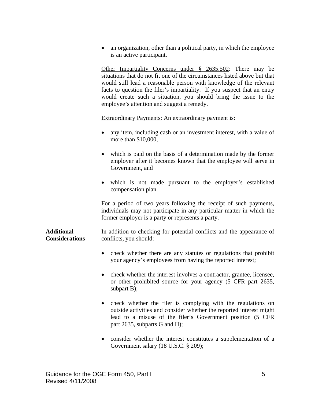<span id="page-7-0"></span>• an organization, other than a political party, in which the employee is an active participant.

Other Impartiality Concerns under § 2635.502: There may be situations that do not fit one of the circumstances listed above but that would still lead a reasonable person with knowledge of the relevant facts to question the filer's impartiality. If you suspect that an entry would create such a situation, you should bring the issue to the employee's attention and suggest a remedy.

Extraordinary Payments: An extraordinary payment is:

- any item, including cash or an investment interest, with a value of more than \$10,000,
- which is paid on the basis of a determination made by the former employer after it becomes known that the employee will serve in Government, and
- which is not made pursuant to the employer's established compensation plan.

For a period of two years following the receipt of such payments, individuals may not participate in any particular matter in which the former employer is a party or represents a party.

**Additional Considerations**  In addition to checking for potential conflicts and the appearance of conflicts, you should:

- check whether there are any statutes or regulations that prohibit your agency's employees from having the reported interest;
- check whether the interest involves a contractor, grantee, licensee, or other prohibited source for your agency (5 CFR part 2635, subpart B);
- check whether the filer is complying with the regulations on outside activities and consider whether the reported interest might lead to a misuse of the filer's Government position (5 CFR part 2635, subparts G and H);
- consider whether the interest constitutes a supplementation of a Government salary (18 U.S.C. § 209);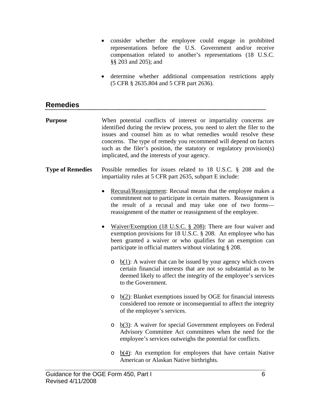- <span id="page-8-0"></span>• consider whether the employee could engage in prohibited representations before the U.S. Government and/or receive compensation related to another's representations (18 U.S.C. §§ 203 and 205); and
- determine whether additional compensation restrictions apply (5 CFR § 2635.804 and 5 CFR part 2636).

| <b>Remedies</b>         |                                                                                                                                                                                                                                                                                                                                                                                                                 |
|-------------------------|-----------------------------------------------------------------------------------------------------------------------------------------------------------------------------------------------------------------------------------------------------------------------------------------------------------------------------------------------------------------------------------------------------------------|
| <b>Purpose</b>          | When potential conflicts of interest or impartiality concerns are<br>identified during the review process, you need to alert the filer to the<br>issues and counsel him as to what remedies would resolve these<br>concerns. The type of remedy you recommend will depend on factors<br>such as the filer's position, the statutory or regulatory provision(s)<br>implicated, and the interests of your agency. |
| <b>Type of Remedies</b> | Possible remedies for issues related to 18 U.S.C. $\S$ 208 and the<br>impartiality rules at 5 CFR part 2635, subpart E include:                                                                                                                                                                                                                                                                                 |
|                         | Recusal/Reassignment: Recusal means that the employee makes a<br>commitment not to participate in certain matters. Reassignment is<br>the result of a recusal and may take one of two forms-<br>reassignment of the matter or reassignment of the employee.                                                                                                                                                     |
|                         | Waiver/Exemption (18 U.S.C. § 208): There are four waiver and<br>exemption provisions for 18 U.S.C. § 208. An employee who has<br>been granted a waiver or who qualifies for an exemption can<br>participate in official matters without violating § 208.                                                                                                                                                       |
|                         | $\underline{b(1)}$ : A waiver that can be issued by your agency which covers<br>$\circ$<br>certain financial interests that are not so substantial as to be<br>deemed likely to affect the integrity of the employee's services<br>to the Government.                                                                                                                                                           |
|                         | $b(2)$ : Blanket exemptions issued by OGE for financial interests<br>O<br>considered too remote or inconsequential to affect the integrity<br>of the employee's services.                                                                                                                                                                                                                                       |
|                         | $\underline{b(3)}$ : A waiver for special Government employees on Federal<br>O<br>Advisory Committee Act committees when the need for the<br>employee's services outweighs the potential for conflicts.                                                                                                                                                                                                         |
|                         | $\underline{b(4)}$ : An exemption for employees that have certain Native<br>O<br>American or Alaskan Native birthrights.                                                                                                                                                                                                                                                                                        |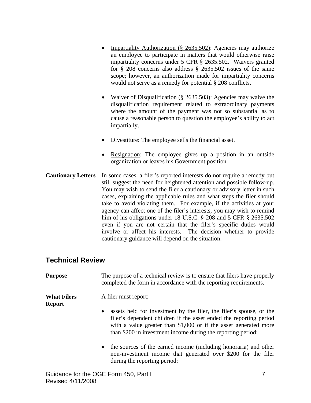- <span id="page-9-0"></span>• Impartiality Authorization (§ 2635.502): Agencies may authorize an employee to participate in matters that would otherwise raise impartiality concerns under 5 CFR § 2635.502. Waivers granted for § 208 concerns also address § 2635.502 issues of the same scope; however, an authorization made for impartiality concerns would not serve as a remedy for potential § 208 conflicts.
- Waiver of Disqualification (§ 2635.503): Agencies may waive the disqualification requirement related to extraordinary payments where the amount of the payment was not so substantial as to cause a reasonable person to question the employee's ability to act impartially.
- Divestiture: The employee sells the financial asset.
- Resignation: The employee gives up a position in an outside organization or leaves his Government position.
- **Cautionary Letters** In some cases, a filer's reported interests do not require a remedy but still suggest the need for heightened attention and possible follow-up. You may wish to send the filer a cautionary or advisory letter in such cases, explaining the applicable rules and what steps the filer should take to avoid violating them. For example, if the activities at your agency can affect one of the filer's interests, you may wish to remind him of his obligations under 18 U.S.C. § 208 and 5 CFR § 2635.502 even if you are not certain that the filer's specific duties would involve or affect his interests. The decision whether to provide cautionary guidance will depend on the situation.

#### **Technical Review**

| <b>Purpose</b>                      | The purpose of a technical review is to ensure that filers have properly<br>completed the form in accordance with the reporting requirements.                                                          |
|-------------------------------------|--------------------------------------------------------------------------------------------------------------------------------------------------------------------------------------------------------|
| <b>What Filers</b><br><b>Report</b> | A filer must report:<br>assets held for investment by the filer, the filer's spouse, or the<br>$\bullet$                                                                                               |
|                                     | filer's dependent children if the asset ended the reporting period<br>with a value greater than \$1,000 or if the asset generated more<br>than \$200 in investment income during the reporting period; |
|                                     | the sources of the earned income (including honoraria) and other<br>$\bullet$<br>non-investment income that generated over \$200 for the filer<br>during the reporting period;                         |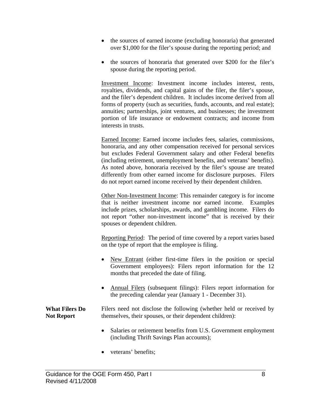- <span id="page-10-0"></span>• the sources of earned income (excluding honoraria) that generated over \$1,000 for the filer's spouse during the reporting period; and
- the sources of honoraria that generated over \$200 for the filer's spouse during the reporting period.

Investment Income: Investment income includes interest, rents, royalties, dividends, and capital gains of the filer, the filer's spouse, and the filer's dependent children. It includes income derived from all forms of property (such as securities, funds, accounts, and real estate); annuities; partnerships, joint ventures, and businesses; the investment portion of life insurance or endowment contracts; and income from interests in trusts.

Earned Income: Earned income includes fees, salaries, commissions, honoraria, and any other compensation received for personal services but excludes Federal Government salary and other Federal benefits (including retirement, unemployment benefits, and veterans' benefits). As noted above, honoraria received by the filer's spouse are treated differently from other earned income for disclosure purposes. Filers do not report earned income received by their dependent children.

Other Non-Investment Income: This remainder category is for income that is neither investment income nor earned income. Examples include prizes, scholarships, awards, and gambling income. Filers do not report "other non-investment income" that is received by their spouses or dependent children.

Reporting Period: The period of time covered by a report varies based on the type of report that the employee is filing.

- New Entrant (either first-time filers in the position or special Government employees): Filers report information for the 12 months that preceded the date of filing.
- Annual Filers (subsequent filings): Filers report information for the preceding calendar year (January 1 - December 31).

**What Filers Do Not Report**  Filers need not disclose the following (whether held or received by themselves, their spouses, or their dependent children):

- Salaries or retirement benefits from U.S. Government employment (including Thrift Savings Plan accounts);
- veterans' benefits;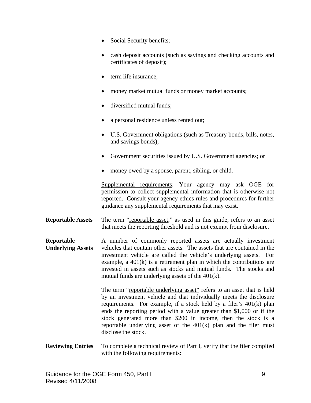- <span id="page-11-0"></span>• Social Security benefits;
- cash deposit accounts (such as savings and checking accounts and certificates of deposit);
- term life insurance:
- money market mutual funds or money market accounts;
- diversified mutual funds;
- a personal residence unless rented out;
- U.S. Government obligations (such as Treasury bonds, bills, notes, and savings bonds);
- Government securities issued by U.S. Government agencies; or
- money owed by a spouse, parent, sibling, or child.

Supplemental requirements: Your agency may ask OGE for permission to collect supplemental information that is otherwise not reported. Consult your agency ethics rules and procedures for further guidance any supplemental requirements that may exist.

**Reportable Assets** The term "reportable asset," as used in this guide, refers to an asset that meets the reporting threshold and is not exempt from disclosure.

**Reportable Underlying Assets**  A number of commonly reported assets are actually investment vehicles that contain other assets. The assets that are contained in the investment vehicle are called the vehicle's underlying assets. For example, a 401(k) is a retirement plan in which the contributions are invested in assets such as stocks and mutual funds. The stocks and mutual funds are underlying assets of the 401(k).

> The term "reportable underlying asset" refers to an asset that is held by an investment vehicle and that individually meets the disclosure requirements. For example, if a stock held by a filer's 401(k) plan ends the reporting period with a value greater than \$1,000 or if the stock generated more than \$200 in income, then the stock is a reportable underlying asset of the 401(k) plan and the filer must disclose the stock.

#### **Reviewing Entries** To complete a technical review of Part I, verify that the filer complied with the following requirements: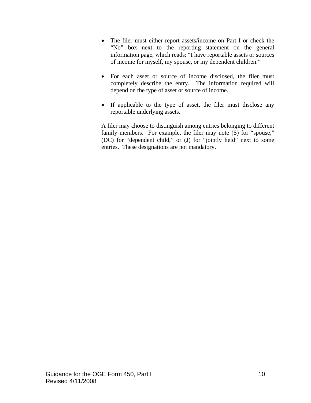- The filer must either report assets/income on Part I or check the "No" box next to the reporting statement on the general information page, which reads: "I have reportable assets or sources of income for myself, my spouse, or my dependent children."
- For each asset or source of income disclosed, the filer must completely describe the entry. The information required will depend on the type of asset or source of income.
- If applicable to the type of asset, the filer must disclose any reportable underlying assets.

A filer may choose to distinguish among entries belonging to different family members. For example, the filer may note (S) for "spouse," (DC) for "dependent child," or (J) for "jointly held" next to some entries. These designations are not mandatory.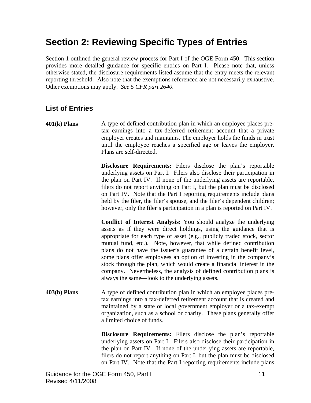## <span id="page-13-0"></span>**Section 2: Reviewing Specific Types of Entries**

Section 1 outlined the general review process for Part I of the OGE Form 450. This section provides more detailed guidance for specific entries on Part I. Please note that, unless otherwise stated, the disclosure requirements listed assume that the entry meets the relevant reporting threshold. Also note that the exemptions referenced are not necessarily exhaustive. Other exemptions may apply. *See 5 CFR part 2640.* 

### **List of Entries**

**401(k) Plans** A type of defined contribution plan in which an employee places pretax earnings into a tax-deferred retirement account that a private employer creates and maintains. The employer holds the funds in trust until the employee reaches a specified age or leaves the employer. Plans are self-directed.

> **Disclosure Requirements:** Filers disclose the plan's reportable underlying assets on Part I. Filers also disclose their participation in the plan on Part IV. If none of the underlying assets are reportable, filers do not report anything on Part I, but the plan must be disclosed on Part IV. Note that the Part I reporting requirements include plans held by the filer, the filer's spouse, and the filer's dependent children; however, only the filer's participation in a plan is reported on Part IV.

> **Conflict of Interest Analysis:** You should analyze the underlying assets as if they were direct holdings, using the guidance that is appropriate for each type of asset (e.g., publicly traded stock, sector mutual fund, etc.). Note, however, that while defined contribution plans do not have the issuer's guarantee of a certain benefit level, some plans offer employees an option of investing in the company's stock through the plan, which would create a financial interest in the company. Nevertheless, the analysis of defined contribution plans is always the same—look to the underlying assets.

**403(b) Plans** A type of defined contribution plan in which an employee places pretax earnings into a tax-deferred retirement account that is created and maintained by a state or local government employer or a tax-exempt organization, such as a school or charity. These plans generally offer a limited choice of funds.

> **Disclosure Requirements:** Filers disclose the plan's reportable underlying assets on Part I. Filers also disclose their participation in the plan on Part IV. If none of the underlying assets are reportable, filers do not report anything on Part I, but the plan must be disclosed on Part IV. Note that the Part I reporting requirements include plans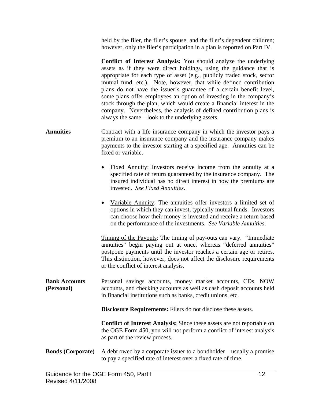<span id="page-14-0"></span>held by the filer, the filer's spouse, and the filer's dependent children; however, only the filer's participation in a plan is reported on Part IV.

**Conflict of Interest Analysis:** You should analyze the underlying assets as if they were direct holdings, using the guidance that is appropriate for each type of asset (e.g., publicly traded stock, sector mutual fund, etc.). Note, however, that while defined contribution plans do not have the issuer's guarantee of a certain benefit level, some plans offer employees an option of investing in the company's stock through the plan, which would create a financial interest in the company. Nevertheless, the analysis of defined contribution plans is always the same—look to the underlying assets.

- Annuities **Contract** with a life insurance company in which the investor pays a premium to an insurance company and the insurance company makes payments to the investor starting at a specified age. Annuities can be fixed or variable.
	- Fixed Annuity: Investors receive income from the annuity at a specified rate of return guaranteed by the insurance company. The insured individual has no direct interest in how the premiums are invested. *See Fixed Annuities*.
	- Variable Annuity: The annuities offer investors a limited set of options in which they can invest, typically mutual funds. Investors can choose how their money is invested and receive a return based on the performance of the investments. *See Variable Annuities*.

Timing of the Payouts: The timing of pay-outs can vary. "Immediate annuities" begin paying out at once, whereas "deferred annuities" postpone payments until the investor reaches a certain age or retires. This distinction, however, does not affect the disclosure requirements or the conflict of interest analysis.

**Bank Accounts (Personal)**  Personal savings accounts, money market accounts, CDs, NOW accounts, and checking accounts as well as cash deposit accounts held in financial institutions such as banks, credit unions, etc.

**Disclosure Requirements:** Filers do not disclose these assets.

**Conflict of Interest Analysis:** Since these assets are not reportable on the OGE Form 450, you will not perform a conflict of interest analysis as part of the review process.

#### **Bonds (Corporate)** A debt owed by a corporate issuer to a bondholder—usually a promise to pay a specified rate of interest over a fixed rate of time.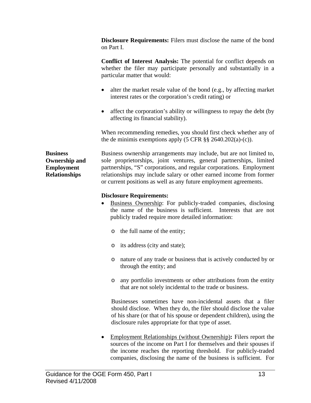<span id="page-15-0"></span>**Disclosure Requirements:** Filers must disclose the name of the bond on Part I.

**Conflict of Interest Analysis:** The potential for conflict depends on whether the filer may participate personally and substantially in a particular matter that would:

- alter the market resale value of the bond (e.g., by affecting market interest rates or the corporation's credit rating) or
- affect the corporation's ability or willingness to repay the debt (by affecting its financial stability).

When recommending remedies, you should first check whether any of the de minimis exemptions apply (5 CFR §§ 2640.202(a)-(c)).

**Business Ownership and Employment Relationships** 

Business ownership arrangements may include, but are not limited to, sole proprietorships, joint ventures, general partnerships, limited partnerships, "S" corporations, and regular corporations. Employment relationships may include salary or other earned income from former or current positions as well as any future employment agreements.

#### **Disclosure Requirements:**

- Business Ownership: For publicly-traded companies, disclosing the name of the business is sufficient. Interests that are not publicly traded require more detailed information:
	- o the full name of the entity;
	- o its address (city and state);
	- o nature of any trade or business that is actively conducted by or through the entity; and
	- o any portfolio investments or other attributions from the entity that are not solely incidental to the trade or business.

Businesses sometimes have non-incidental assets that a filer should disclose. When they do, the filer should disclose the value of his share (or that of his spouse or dependent children), using the disclosure rules appropriate for that type of asset.

• Employment Relationships (without Ownership)**:** Filers report the sources of the income on Part I for themselves and their spouses if the income reaches the reporting threshold. For publicly-traded companies, disclosing the name of the business is sufficient. For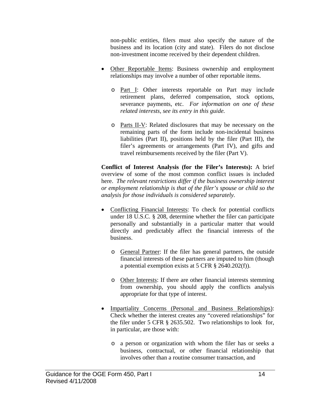non-public entities, filers must also specify the nature of the business and its location (city and state). Filers do not disclose non-investment income received by their dependent children.

- Other Reportable Items: Business ownership and employment relationships may involve a number of other reportable items.
	- o Part I: Other interests reportable on Part may include retirement plans, deferred compensation, stock options, severance payments, etc. *For information on one of these related interests, see its entry in this guide.*
	- o Parts II-V: Related disclosures that may be necessary on the remaining parts of the form include non-incidental business liabilities (Part II), positions held by the filer (Part III), the filer's agreements or arrangements (Part IV), and gifts and travel reimbursements received by the filer (Part V).

**Conflict of Interest Analysis (for the Filer's Interests):** A brief overview of some of the most common conflict issues is included here. *The relevant restrictions differ if the business ownership interest or employment relationship is that of the filer's spouse or child so the analysis for those individuals is considered separately.* 

- Conflicting Financial Interests: To check for potential conflicts under 18 U.S.C. § 208, determine whether the filer can participate personally and substantially in a particular matter that would directly and predictably affect the financial interests of the business.
	- o General Partner: If the filer has general partners, the outside financial interests of these partners are imputed to him (though a potential exemption exists at 5 CFR § 2640.202(f)).
	- o Other Interests: If there are other financial interests stemming from ownership, you should apply the conflicts analysis appropriate for that type of interest.
- Impartiality Concerns (Personal and Business Relationships): Check whether the interest creates any "covered relationships" for the filer under 5 CFR § 2635.502. Two relationships to look for, in particular, are those with:
	- o a person or organization with whom the filer has or seeks a business, contractual, or other financial relationship that involves other than a routine consumer transaction, and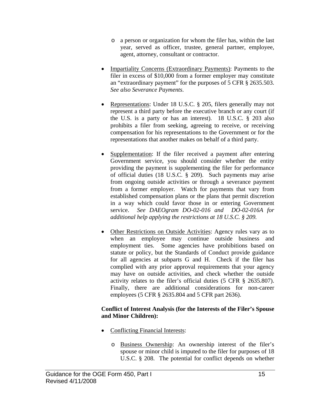- o a person or organization for whom the filer has, within the last year, served as officer, trustee, general partner, employee, agent, attorney, consultant or contractor.
- Impartiality Concerns (Extraordinary Payments): Payments to the filer in excess of \$10,000 from a former employer may constitute an "extraordinary payment" for the purposes of 5 CFR § 2635.503. *See also Severance Payments*.
- Representations: Under 18 U.S.C. § 205, filers generally may not represent a third party before the executive branch or any court (if the U.S. is a party or has an interest). 18 U.S.C. § 203 also prohibits a filer from seeking, agreeing to receive, or receiving compensation for his representations to the Government or for the representations that another makes on behalf of a third party.
- Supplementation: If the filer received a payment after entering Government service, you should consider whether the entity providing the payment is supplementing the filer for performance of official duties (18 U.S.C. § 209). Such payments may arise from ongoing outside activities or through a severance payment from a former employer. Watch for payments that vary from established compensation plans or the plans that permit discretion in a way which could favor those in or entering Government service. *See DAEOgram DO-02-016 and DO-02-016A for additional help applying the restrictions at 18 U.S.C. § 209.*
- Other Restrictions on Outside Activities: Agency rules vary as to when an employee may continue outside business and employment ties. Some agencies have prohibitions based on statute or policy, but the Standards of Conduct provide guidance for all agencies at subparts G and H. Check if the filer has complied with any prior approval requirements that your agency may have on outside activities, and check whether the outside activity relates to the filer's official duties (5 CFR § 2635.807). Finally, there are additional considerations for non-career employees (5 CFR § 2635.804 and 5 CFR part 2636).

#### **Conflict of Interest Analysis (for the Interests of the Filer's Spouse and Minor Children):**

- Conflicting Financial Interests:
	- o Business Ownership: An ownership interest of the filer's spouse or minor child is imputed to the filer for purposes of 18 U.S.C. § 208. The potential for conflict depends on whether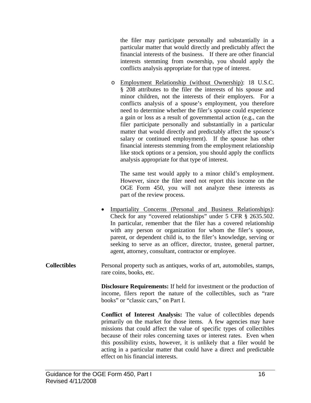<span id="page-18-0"></span>the filer may participate personally and substantially in a particular matter that would directly and predictably affect the financial interests of the business. If there are other financial interests stemming from ownership, you should apply the conflicts analysis appropriate for that type of interest.

o Employment Relationship (without Ownership): 18 U.S.C. § 208 attributes to the filer the interests of his spouse and minor children, not the interests of their employers. For a conflicts analysis of a spouse's employment, you therefore need to determine whether the filer's spouse could experience a gain or loss as a result of governmental action (e.g., can the filer participate personally and substantially in a particular matter that would directly and predictably affect the spouse's salary or continued employment). If the spouse has other financial interests stemming from the employment relationship like stock options or a pension, you should apply the conflicts analysis appropriate for that type of interest.

 The same test would apply to a minor child's employment. However, since the filer need not report this income on the OGE Form 450, you will not analyze these interests as part of the review process.

- Impartiality Concerns (Personal and Business Relationships): Check for any "covered relationships" under 5 CFR § 2635.502. In particular, remember that the filer has a covered relationship with any person or organization for whom the filer's spouse, parent, or dependent child is, to the filer's knowledge, serving or seeking to serve as an officer, director, trustee, general partner, agent, attorney, consultant, contractor or employee.
- **Collectibles** Personal property such as antiques, works of art, automobiles, stamps, rare coins, books, etc.

**Disclosure Requirements:** If held for investment or the production of income, filers report the nature of the collectibles, such as "rare books" or "classic cars," on Part I.

**Conflict of Interest Analysis:** The value of collectibles depends primarily on the market for those items. A few agencies may have missions that could affect the value of specific types of collectibles because of their roles concerning taxes or interest rates. Even when this possibility exists, however, it is unlikely that a filer would be acting in a particular matter that could have a direct and predictable effect on his financial interests.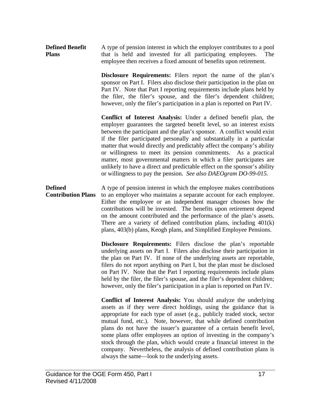<span id="page-19-0"></span>**Defined Benefit Plans**  A type of pension interest in which the employer contributes to a pool that is held and invested for all participating employees. The employee then receives a fixed amount of benefits upon retirement.

> **Disclosure Requirements:** Filers report the name of the plan's sponsor on Part I. Filers also disclose their participation in the plan on Part IV. Note that Part I reporting requirements include plans held by the filer, the filer's spouse, and the filer's dependent children; however, only the filer's participation in a plan is reported on Part IV.

> **Conflict of Interest Analysis:** Under a defined benefit plan, the employer guarantees the targeted benefit level, so an interest exists between the participant and the plan's sponsor. A conflict would exist if the filer participated personally and substantially in a particular matter that would directly and predictably affect the company's ability or willingness to meet its pension commitments. As a practical matter, most governmental matters in which a filer participates are unlikely to have a direct and predictable effect on the sponsor's ability or willingness to pay the pension. *See also DAEOgram DO-99-015.*

**Defined Contribution Plans**  A type of pension interest in which the employee makes contributions to an employer who maintains a separate account for each employee. Either the employee or an independent manager chooses how the contributions will be invested. The benefits upon retirement depend on the amount contributed and the performance of the plan's assets. There are a variety of defined contribution plans, including 401(k) plans, 403(b) plans, Keogh plans, and Simplified Employee Pensions.

> **Disclosure Requirements:** Filers disclose the plan's reportable underlying assets on Part I. Filers also disclose their participation in the plan on Part IV. If none of the underlying assets are reportable, filers do not report anything on Part I, but the plan must be disclosed on Part IV. Note that the Part I reporting requirements include plans held by the filer, the filer's spouse, and the filer's dependent children; however, only the filer's participation in a plan is reported on Part IV.

> **Conflict of Interest Analysis:** You should analyze the underlying assets as if they were direct holdings, using the guidance that is appropriate for each type of asset (e.g., publicly traded stock, sector mutual fund, etc.). Note, however, that while defined contribution plans do not have the issuer's guarantee of a certain benefit level, some plans offer employees an option of investing in the company's stock through the plan, which would create a financial interest in the company. Nevertheless, the analysis of defined contribution plans is always the same—look to the underlying assets.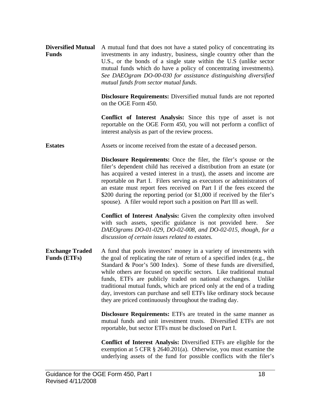<span id="page-20-0"></span>**Diversified Mutual** A mutual fund that does not have a stated policy of concentrating its **Funds**  investments in any industry, business, single country other than the U.S., or the bonds of a single state within the U.S (unlike sector mutual funds which do have a policy of concentrating investments). *See DAEOgram DO-00-030 for assistance distinguishing diversified mutual funds from sector mutual funds.*

> **Disclosure Requirements:** Diversified mutual funds are not reported on the OGE Form 450.

> **Conflict of Interest Analysis:** Since this type of asset is not reportable on the OGE Form 450, you will not perform a conflict of interest analysis as part of the review process.

**Estates** Assets or income received from the estate of a deceased person.

**Disclosure Requirements:** Once the filer, the filer's spouse or the filer's dependent child has received a distribution from an estate (or has acquired a vested interest in a trust), the assets and income are reportable on Part I. Filers serving as executors or administrators of an estate must report fees received on Part I if the fees exceed the \$200 during the reporting period (or \$1,000 if received by the filer's spouse). A filer would report such a position on Part III as well.

**Conflict of Interest Analysis:** Given the complexity often involved with such assets, specific guidance is not provided here. *See DAEOgrams DO-01-029, DO-02-008, and DO-02-015, though, for a discussion of certain issues related to estates.*

**Exchange Traded Funds (ETFs)**  A fund that pools investors' money in a variety of investments with the goal of replicating the rate of return of a specified index (e.g., the Standard & Poor's 500 Index). Some of these funds are diversified, while others are focused on specific sectors. Like traditional mutual funds, ETFs are publicly traded on national exchanges. Unlike traditional mutual funds, which are priced only at the end of a trading day, investors can purchase and sell ETFs like ordinary stock because they are priced continuously throughout the trading day.

> **Disclosure Requirements:** ETFs are treated in the same manner as mutual funds and unit investment trusts. Diversified ETFs are not reportable, but sector ETFs must be disclosed on Part I.

> **Conflict of Interest Analysis:** Diversified ETFs are eligible for the exemption at 5 CFR § 2640.201(a). Otherwise, you must examine the underlying assets of the fund for possible conflicts with the filer's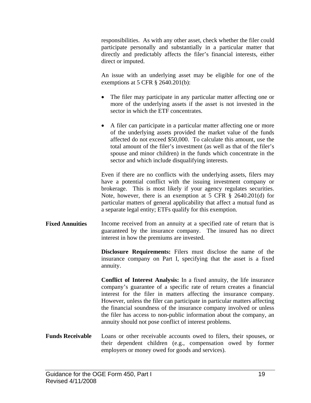<span id="page-21-0"></span>responsibilities. As with any other asset, check whether the filer could participate personally and substantially in a particular matter that directly and predictably affects the filer's financial interests, either direct or imputed.

An issue with an underlying asset may be eligible for one of the exemptions at 5 CFR § 2640.201(b):

- The filer may participate in any particular matter affecting one or more of the underlying assets if the asset is not invested in the sector in which the ETF concentrates.
- A filer can participate in a particular matter affecting one or more of the underlying assets provided the market value of the funds affected do not exceed \$50,000. To calculate this amount, use the total amount of the filer's investment (as well as that of the filer's spouse and minor children) in the funds which concentrate in the sector and which include disqualifying interests.

Even if there are no conflicts with the underlying assets, filers may have a potential conflict with the issuing investment company or brokerage. This is most likely if your agency regulates securities. Note, however, there is an exemption at 5 CFR § 2640.201(d) for particular matters of general applicability that affect a mutual fund as a separate legal entity; ETFs qualify for this exemption.

**Fixed Annuities** Income received from an annuity at a specified rate of return that is guaranteed by the insurance company. The insured has no direct interest in how the premiums are invested.

> **Disclosure Requirements:** Filers must disclose the name of the insurance company on Part I, specifying that the asset is a fixed annuity.

**Conflict of Interest Analysis:** In a fixed annuity, the life insurance company's guarantee of a specific rate of return creates a financial interest for the filer in matters affecting the insurance company. However, unless the filer can participate in particular matters affecting the financial soundness of the insurance company involved or unless the filer has access to non-public information about the company, an annuity should not pose conflict of interest problems.

**Funds Receivable** Loans or other receivable accounts owed to filers, their spouses, or their dependent children (e.g., compensation owed by former employers or money owed for goods and services).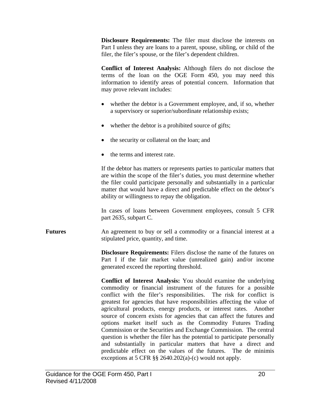<span id="page-22-0"></span>**Disclosure Requirements:** The filer must disclose the interests on Part I unless they are loans to a parent, spouse, sibling, or child of the filer, the filer's spouse, or the filer's dependent children.

**Conflict of Interest Analysis:** Although filers do not disclose the terms of the loan on the OGE Form 450, you may need this information to identify areas of potential concern. Information that may prove relevant includes:

- whether the debtor is a Government employee, and, if so, whether a supervisory or superior/subordinate relationship exists;
- whether the debtor is a prohibited source of gifts;
- the security or collateral on the loan; and
- the terms and interest rate.

If the debtor has matters or represents parties to particular matters that are within the scope of the filer's duties, you must determine whether the filer could participate personally and substantially in a particular matter that would have a direct and predictable effect on the debtor's ability or willingness to repay the obligation.

In cases of loans between Government employees, consult 5 CFR part 2635, subpart C.

**Futures** An agreement to buy or sell a commodity or a financial interest at a stipulated price, quantity, and time.

> **Disclosure Requirements:** Filers disclose the name of the futures on Part I if the fair market value (unrealized gain) and/or income generated exceed the reporting threshold.

> **Conflict of Interest Analysis:** You should examine the underlying commodity or financial instrument of the futures for a possible conflict with the filer's responsibilities. The risk for conflict is greatest for agencies that have responsibilities affecting the value of agricultural products, energy products, or interest rates. Another source of concern exists for agencies that can affect the futures and options market itself such as the Commodity Futures Trading Commission or the Securities and Exchange Commission. The central question is whether the filer has the potential to participate personally and substantially in particular matters that have a direct and predictable effect on the values of the futures. The de minimis exceptions at 5 CFR §§ 2640.202(a)-(c) would not apply.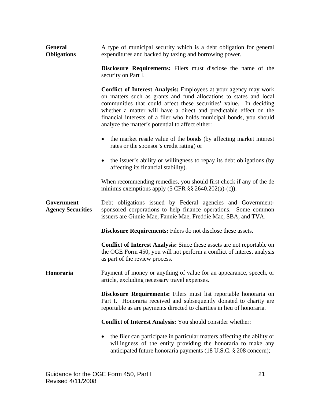<span id="page-23-0"></span>

| <b>General</b>     | A type of municipal security which is a debt obligation for general |
|--------------------|---------------------------------------------------------------------|
| <b>Obligations</b> | expenditures and backed by taxing and borrowing power.              |

**Disclosure Requirements:** Filers must disclose the name of the security on Part I.

**Conflict of Interest Analysis:** Employees at your agency may work on matters such as grants and fund allocations to states and local communities that could affect these securities' value. In deciding whether a matter will have a direct and predictable effect on the financial interests of a filer who holds municipal bonds, you should analyze the matter's potential to affect either:

- the market resale value of the bonds (by affecting market interest rates or the sponsor's credit rating) or
- the issuer's ability or willingness to repay its debt obligations (by affecting its financial stability).

When recommending remedies, you should first check if any of the de minimis exemptions apply  $(5 \text{ CFR} \text{ s} \text{ s} \text{ 2640.202(a)-(c))$ .

**Government Agency Securities**  Debt obligations issued by Federal agencies and Governmentsponsored corporations to help finance operations. Some common issuers are Ginnie Mae, Fannie Mae, Freddie Mac, SBA, and TVA.

**Disclosure Requirements:** Filers do not disclose these assets.

**Conflict of Interest Analysis:** Since these assets are not reportable on the OGE Form 450, you will not perform a conflict of interest analysis as part of the review process.

**Honoraria** Payment of money or anything of value for an appearance, speech, or article, excluding necessary travel expenses.

> **Disclosure Requirements:** Filers must list reportable honoraria on Part I. Honoraria received and subsequently donated to charity are reportable as are payments directed to charities in lieu of honoraria.

**Conflict of Interest Analysis:** You should consider whether:

• the filer can participate in particular matters affecting the ability or willingness of the entity providing the honoraria to make any anticipated future honoraria payments (18 U.S.C. § 208 concern);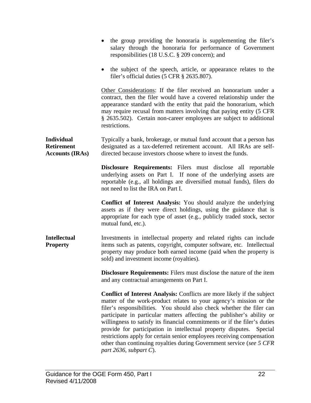<span id="page-24-0"></span>

|                                                                  | • the group providing the honoraria is supplementing the filer's<br>salary through the honoraria for performance of Government<br>responsibilities (18 U.S.C. § 209 concern); and                                                                                                                                                                                                                                                                                                                                                                                                                                                       |
|------------------------------------------------------------------|-----------------------------------------------------------------------------------------------------------------------------------------------------------------------------------------------------------------------------------------------------------------------------------------------------------------------------------------------------------------------------------------------------------------------------------------------------------------------------------------------------------------------------------------------------------------------------------------------------------------------------------------|
|                                                                  | • the subject of the speech, article, or appearance relates to the<br>filer's official duties (5 CFR § 2635.807).                                                                                                                                                                                                                                                                                                                                                                                                                                                                                                                       |
|                                                                  | Other Considerations: If the filer received an honorarium under a<br>contract, then the filer would have a covered relationship under the<br>appearance standard with the entity that paid the honorarium, which<br>may require recusal from matters involving that paying entity (5 CFR<br>§ 2635.502). Certain non-career employees are subject to additional<br>restrictions.                                                                                                                                                                                                                                                        |
| <b>Individual</b><br><b>Retirement</b><br><b>Accounts (IRAs)</b> | Typically a bank, brokerage, or mutual fund account that a person has<br>designated as a tax-deferred retirement account. All IRAs are self-<br>directed because investors choose where to invest the funds.                                                                                                                                                                                                                                                                                                                                                                                                                            |
|                                                                  | Disclosure Requirements: Filers must disclose all reportable<br>underlying assets on Part I. If none of the underlying assets are<br>reportable (e.g., all holdings are diversified mutual funds), filers do<br>not need to list the IRA on Part I.                                                                                                                                                                                                                                                                                                                                                                                     |
|                                                                  | <b>Conflict of Interest Analysis:</b> You should analyze the underlying<br>assets as if they were direct holdings, using the guidance that is<br>appropriate for each type of asset (e.g., publicly traded stock, sector<br>mutual fund, etc.).                                                                                                                                                                                                                                                                                                                                                                                         |
| <b>Intellectual</b><br><b>Property</b>                           | Investments in intellectual property and related rights can include<br>items such as patents, copyright, computer software, etc. Intellectual<br>property may produce both earned income (paid when the property is<br>sold) and investment income (royalties).                                                                                                                                                                                                                                                                                                                                                                         |
|                                                                  | <b>Disclosure Requirements:</b> Filers must disclose the nature of the item<br>and any contractual arrangements on Part I.                                                                                                                                                                                                                                                                                                                                                                                                                                                                                                              |
|                                                                  | Conflict of Interest Analysis: Conflicts are more likely if the subject<br>matter of the work-product relates to your agency's mission or the<br>filer's responsibilities. You should also check whether the filer can<br>participate in particular matters affecting the publisher's ability or<br>willingness to satisfy its financial commitments or if the filer's duties<br>provide for participation in intellectual property disputes.<br>Special<br>restrictions apply for certain senior employees receiving compensation<br>other than continuing royalties during Government service (see 5 CFR<br>part 2636, subpart $C$ ). |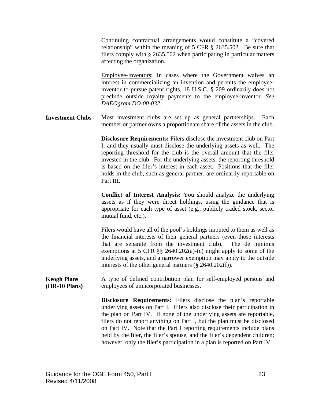<span id="page-25-0"></span>Continuing contractual arrangements would constitute a "covered relationship" within the meaning of 5 CFR § 2635.502. Be sure that filers comply with § 2635.502 when participating in particular matters affecting the organization.

Employee-Inventors: In cases where the Government waives an interest in commercializing an invention and permits the employeeinventor to pursue patent rights, 18 U.S.C. § 209 ordinarily does not preclude outside royalty payments to the employee-inventor. *See DAEOgram DO-00-032*.

**Investment Clubs** Most investment clubs are set up as general partnerships. Each member or partner owns a proportionate share of the assets in the club.

> **Disclosure Requirements:** Filers disclose the investment club on Part I, and they usually must disclose the underlying assets as well. The reporting threshold for the club is the overall amount that the filer invested in the club. For the underlying assets, the reporting threshold is based on the filer's interest in each asset. Positions that the filer holds in the club, such as general partner, are ordinarily reportable on Part III.

> **Conflict of Interest Analysis:** You should analyze the underlying assets as if they were direct holdings, using the guidance that is appropriate for each type of asset (e.g., publicly traded stock, sector mutual fund, etc.).

> Filers would have all of the pool's holdings imputed to them as well as the financial interests of their general partners (even those interests that are separate from the investment club). The de minimis exemptions at 5 CFR §§ 2640.202(a)-(c) might apply to some of the underlying assets, and a narrower exemption may apply to the outside interests of the other general partners  $(\S$  2640.202(f)).

**Keogh Plans (HR-10 Plans)**  A type of defined contribution plan for self-employed persons and employees of unincorporated businesses.

> **Disclosure Requirements:** Filers disclose the plan's reportable underlying assets on Part I. Filers also disclose their participation in the plan on Part IV. If none of the underlying assets are reportable, filers do not report anything on Part I, but the plan must be disclosed on Part IV. Note that the Part I reporting requirements include plans held by the filer, the filer's spouse, and the filer's dependent children; however, only the filer's participation in a plan is reported on Part IV.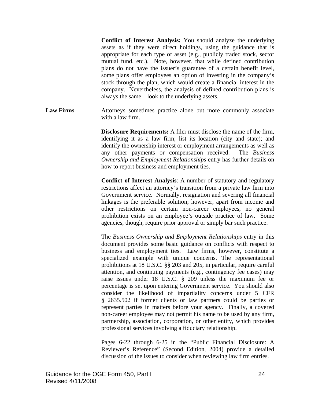<span id="page-26-0"></span>**Conflict of Interest Analysis:** You should analyze the underlying assets as if they were direct holdings, using the guidance that is appropriate for each type of asset (e.g., publicly traded stock, sector mutual fund, etc.). Note, however, that while defined contribution plans do not have the issuer's guarantee of a certain benefit level, some plans offer employees an option of investing in the company's stock through the plan, which would create a financial interest in the company. Nevertheless, the analysis of defined contribution plans is always the same—look to the underlying assets.

Law Firms **Attorneys** sometimes practice alone but more commonly associate with a law firm.

> **Disclosure Requirements:** A filer must disclose the name of the firm, identifying it as a law firm; list its location (city and state); and identify the ownership interest or employment arrangements as well as any other payments or compensation received. The *Business Ownership and Employment Relationships* entry has further details on how to report business and employment ties.

> **Conflict of Interest Analysis**: A number of statutory and regulatory restrictions affect an attorney's transition from a private law firm into Government service. Normally, resignation and severing all financial linkages is the preferable solution; however, apart from income and other restrictions on certain non-career employees, no general prohibition exists on an employee's outside practice of law. Some agencies, though, require prior approval or simply bar such practice.

> The *Business Ownership and Employment Relationships* entry in this document provides some basic guidance on conflicts with respect to business and employment ties. Law firms, however, constitute a specialized example with unique concerns. The representational prohibitions at 18 U.S.C. §§ 203 and 205, in particular, require careful attention, and continuing payments (e.g., contingency fee cases) may raise issues under 18 U.S.C. § 209 unless the maximum fee or percentage is set upon entering Government service. You should also consider the likelihood of impartiality concerns under 5 CFR § 2635.502 if former clients or law partners could be parties or represent parties in matters before your agency. Finally, a covered non-career employee may not permit his name to be used by any firm, partnership, association, corporation, or other entity, which provides professional services involving a fiduciary relationship.

> Pages 6-22 through 6-25 in the "Public Financial Disclosure: A Reviewer's Reference" (Second Edition, 2004) provide a detailed discussion of the issues to consider when reviewing law firm entries.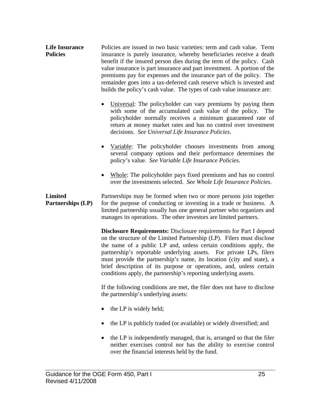- <span id="page-27-0"></span>**Life Insurance Policies**  Policies are issued in two basic varieties: term and cash value. Term insurance is purely insurance, whereby beneficiaries receive a death benefit if the insured person dies during the term of the policy. Cash value insurance is part insurance and part investment. A portion of the premiums pay for expenses and the insurance part of the policy. The remainder goes into a tax-deferred cash reserve which is invested and builds the policy's cash value. The types of cash value insurance are:
	- Universal: The policyholder can vary premiums by paying them with some of the accumulated cash value of the policy. The policyholder normally receives a minimum guaranteed rate of return at money market rates and has no control over investment decisions. *See Universal Life Insurance Policies*.
	- Variable: The policyholder chooses investments from among several company options and their performance determines the policy's value. *See Variable Life Insurance Policies*.
	- Whole: The policyholder pays fixed premiums and has no control over the investments selected. *See Whole Life Insurance Policies*.

**Limited Partnerships (LP)**  Partnerships may be formed when two or more persons join together for the purpose of conducting or investing in a trade or business. A limited partnership usually has one general partner who organizes and manages its operations. The other investors are limited partners.

> **Disclosure Requirements:** Disclosure requirements for Part I depend on the structure of the Limited Partnership (LP). Filers must disclose the name of a public LP and, unless certain conditions apply, the partnership's reportable underlying assets. For private LPs, filers must provide the partnership's name, its location (city and state), a brief description of its purpose or operations, and, unless certain conditions apply, the partnership's reporting underlying assets.

> If the following conditions are met, the filer does not have to disclose the partnership's underlying assets:

- the LP is widely held;
- the LP is publicly traded (or available) or widely diversified; and
- the LP is independently managed, that is, arranged so that the filer neither exercises control nor has the ability to exercise control over the financial interests held by the fund.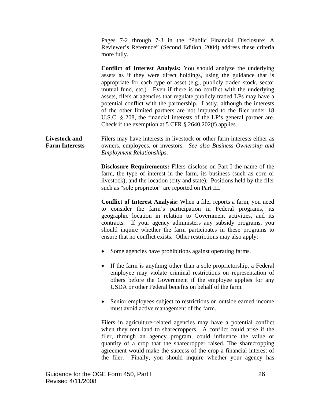Pages 7-2 through 7-3 in the "Public Financial Disclosure: A Reviewer's Reference" (Second Edition, 2004) address these criteria more fully.

<span id="page-28-0"></span>

|                                               | <b>Conflict of Interest Analysis:</b> You should analyze the underlying<br>assets as if they were direct holdings, using the guidance that is<br>appropriate for each type of asset (e.g., publicly traded stock, sector<br>mutual fund, etc.). Even if there is no conflict with the underlying<br>assets, filers at agencies that regulate publicly traded LPs may have a<br>potential conflict with the partnership. Lastly, although the interests<br>of the other limited partners are not imputed to the filer under 18<br>U.S.C. $\S$ 208, the financial interests of the LP's general partner are.<br>Check if the exemption at 5 CFR $\S$ 2640.202(f) applies. |
|-----------------------------------------------|-------------------------------------------------------------------------------------------------------------------------------------------------------------------------------------------------------------------------------------------------------------------------------------------------------------------------------------------------------------------------------------------------------------------------------------------------------------------------------------------------------------------------------------------------------------------------------------------------------------------------------------------------------------------------|
| <b>Livestock and</b><br><b>Farm Interests</b> | Filers may have interests in livestock or other farm interests either as<br>owners, employees, or investors. See also Business Ownership and<br><b>Employment Relationships.</b>                                                                                                                                                                                                                                                                                                                                                                                                                                                                                        |
|                                               | <b>Disclosure Requirements:</b> Filers disclose on Part I the name of the<br>farm, the type of interest in the farm, its business (such as corn or<br>livestock), and the location (city and state). Positions held by the filer<br>such as "sole proprietor" are reported on Part III.                                                                                                                                                                                                                                                                                                                                                                                 |
|                                               | <b>Conflict of Interest Analysis:</b> When a filer reports a farm, you need<br>to consider the farm's participation in Federal programs, its<br>geographic location in relation to Government activities, and its<br>contracts. If your agency administers any subsidy programs, you<br>should inquire whether the farm participates in these programs to<br>ensure that no conflict exists. Other restrictions may also apply:                                                                                                                                                                                                                                         |
|                                               | Some agencies have prohibitions against operating farms.                                                                                                                                                                                                                                                                                                                                                                                                                                                                                                                                                                                                                |
|                                               | If the farm is anything other than a sole proprietorship, a Federal<br>$\bullet$<br>employee may violate criminal restrictions on representation of<br>others before the Government if the employee applies for any<br>USDA or other Federal benefits on behalf of the farm.                                                                                                                                                                                                                                                                                                                                                                                            |
|                                               | Senior employees subject to restrictions on outside earned income<br>must avoid active management of the farm.                                                                                                                                                                                                                                                                                                                                                                                                                                                                                                                                                          |
|                                               | Filers in agriculture-related agencies may have a potential conflict<br>when they rent land to sharecroppers. A conflict could arise if the<br>filer, through an agency program, could influence the value or<br>quantity of a crop that the sharecropper raised. The sharecropping<br>agreement would make the success of the crop a financial interest of<br>the filer. Finally, you should inquire whether your agency has                                                                                                                                                                                                                                           |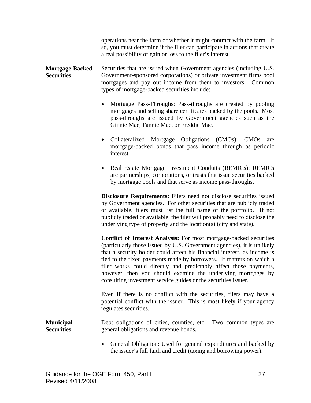operations near the farm or whether it might contract with the farm. If so, you must determine if the filer can participate in actions that create a real possibility of gain or loss to the filer's interest.

#### <span id="page-29-0"></span>**Mortgage-Backed Securities**  Securities that are issued when Government agencies (including U.S. Government-sponsored corporations) or private investment firms pool mortgages and pay out income from them to investors. Common types of mortgage-backed securities include:

- Mortgage Pass-Throughs: Pass-throughs are created by pooling mortgages and selling share certificates backed by the pools. Most pass-throughs are issued by Government agencies such as the Ginnie Mae, Fannie Mae, or Freddie Mac.
- Collateralized Mortgage Obligations (CMOs): CMOs are mortgage-backed bonds that pass income through as periodic interest.
- Real Estate Mortgage Investment Conduits (REMICs): REMICs are partnerships, corporations, or trusts that issue securities backed by mortgage pools and that serve as income pass-throughs.

**Disclosure Requirements:** Filers need not disclose securities issued by Government agencies. For other securities that are publicly traded or available, filers must list the full name of the portfolio. If not publicly traded or available, the filer will probably need to disclose the underlying type of property and the location(s) (city and state).

**Conflict of Interest Analysis:** For most mortgage-backed securities (particularly those issued by U.S. Government agencies), it is unlikely that a security holder could affect his financial interest, as income is tied to the fixed payments made by borrowers. If matters on which a filer works could directly and predictably affect those payments, however, then you should examine the underlying mortgages by consulting investment service guides or the securities issuer.

Even if there is no conflict with the securities, filers may have a potential conflict with the issuer. This is most likely if your agency regulates securities.

**Municipal Securities**  Debt obligations of cities, counties, etc. Two common types are general obligations and revenue bonds.

> General Obligation: Used for general expenditures and backed by the issuer's full faith and credit (taxing and borrowing power).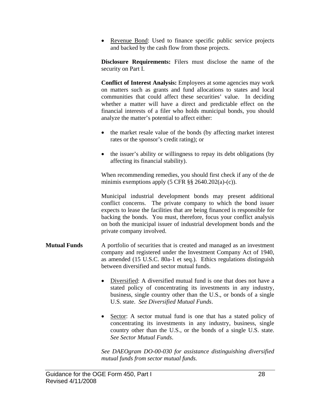<span id="page-30-0"></span>• Revenue Bond: Used to finance specific public service projects and backed by the cash flow from those projects.

**Disclosure Requirements:** Filers must disclose the name of the security on Part I.

**Conflict of Interest Analysis:** Employees at some agencies may work on matters such as grants and fund allocations to states and local communities that could affect these securities' value. In deciding whether a matter will have a direct and predictable effect on the financial interests of a filer who holds municipal bonds, you should analyze the matter's potential to affect either:

- the market resale value of the bonds (by affecting market interest rates or the sponsor's credit rating); or
- the issuer's ability or willingness to repay its debt obligations (by affecting its financial stability).

When recommending remedies, you should first check if any of the de minimis exemptions apply  $(5 \text{ CFR } \S \S 2640.202(a)-(c))$ .

Municipal industrial development bonds may present additional conflict concerns. The private company to which the bond issuer expects to lease the facilities that are being financed is responsible for backing the bonds. You must, therefore, focus your conflict analysis on both the municipal issuer of industrial development bonds and the private company involved.

- **Mutual Funds** A portfolio of securities that is created and managed as an investment company and registered under the Investment Company Act of 1940, as amended (15 U.S.C. 80a-1 et seq.). Ethics regulations distinguish between diversified and sector mutual funds.
	- Diversified: A diversified mutual fund is one that does not have a stated policy of concentrating its investments in any industry, business, single country other than the U.S., or bonds of a single U.S. state. *See Diversified Mutual Funds*.
	- Sector: A sector mutual fund is one that has a stated policy of concentrating its investments in any industry, business, single country other than the U.S., or the bonds of a single U.S. state. *See Sector Mutual Funds*.

*See DAEOgram DO-00-030 for assistance distinguishing diversified mutual funds from sector mutual funds.*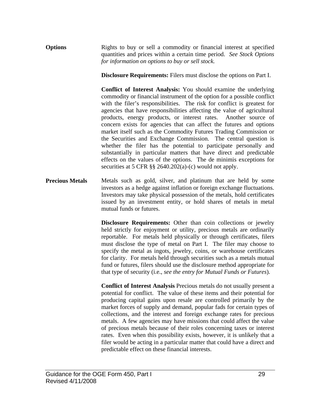#### <span id="page-31-0"></span>**Options** Rights to buy or sell a commodity or financial interest at specified quantities and prices within a certain time period. *See Stock Options for information on options to buy or sell stock.*

**Disclosure Requirements:** Filers must disclose the options on Part I.

**Conflict of Interest Analysis:** You should examine the underlying commodity or financial instrument of the option for a possible conflict with the filer's responsibilities. The risk for conflict is greatest for agencies that have responsibilities affecting the value of agricultural products, energy products, or interest rates. Another source of concern exists for agencies that can affect the futures and options market itself such as the Commodity Futures Trading Commission or the Securities and Exchange Commission. The central question is whether the filer has the potential to participate personally and substantially in particular matters that have direct and predictable effects on the values of the options. The de minimis exceptions for securities at 5 CFR §§ 2640.202(a)-(c) would not apply.

**Precious Metals** Metals such as gold, silver, and platinum that are held by some investors as a hedge against inflation or foreign exchange fluctuations. Investors may take physical possession of the metals, hold certificates issued by an investment entity, or hold shares of metals in metal mutual funds or futures.

> **Disclosure Requirements:** Other than coin collections or jewelry held strictly for enjoyment or utility, precious metals are ordinarily reportable. For metals held physically or through certificates, filers must disclose the type of metal on Part I. The filer may choose to specify the metal as ingots, jewelry, coins, or warehouse certificates for clarity. For metals held through securities such as a metals mutual fund or futures, filers should use the disclosure method appropriate for that type of security (i.e., *see the entry for Mutual Funds or Futures*).

> **Conflict of Interest Analysis** Precious metals do not usually present a potential for conflict. The value of these items and their potential for producing capital gains upon resale are controlled primarily by the market forces of supply and demand, popular fads for certain types of collections, and the interest and foreign exchange rates for precious metals. A few agencies may have missions that could affect the value of precious metals because of their roles concerning taxes or interest rates. Even when this possibility exists, however, it is unlikely that a filer would be acting in a particular matter that could have a direct and predictable effect on these financial interests.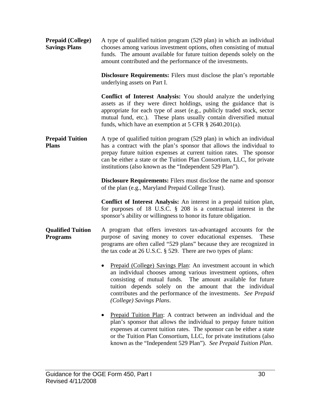<span id="page-32-0"></span>

| <b>Prepaid (College)</b><br><b>Savings Plans</b> | A type of qualified tuition program (529 plan) in which an individual<br>chooses among various investment options, often consisting of mutual<br>funds. The amount available for future tuition depends solely on the<br>amount contributed and the performance of the investments.                                                                         |
|--------------------------------------------------|-------------------------------------------------------------------------------------------------------------------------------------------------------------------------------------------------------------------------------------------------------------------------------------------------------------------------------------------------------------|
|                                                  | Disclosure Requirements: Filers must disclose the plan's reportable<br>underlying assets on Part I.                                                                                                                                                                                                                                                         |
|                                                  | <b>Conflict of Interest Analysis:</b> You should analyze the underlying<br>assets as if they were direct holdings, using the guidance that is<br>appropriate for each type of asset (e.g., publicly traded stock, sector<br>mutual fund, etc.). These plans usually contain diversified mutual<br>funds, which have an exemption at 5 CFR $\S$ 2640.201(a). |
| <b>Prepaid Tuition</b><br><b>Plans</b>           | A type of qualified tuition program (529 plan) in which an individual<br>has a contract with the plan's sponsor that allows the individual to<br>prepay future tuition expenses at current tuition rates. The sponsor<br>can be either a state or the Tuition Plan Consortium, LLC, for private<br>institutions (also known as the "Independent 529 Plan"). |
|                                                  | <b>Disclosure Requirements:</b> Filers must disclose the name and sponsor<br>of the plan (e.g., Maryland Prepaid College Trust).                                                                                                                                                                                                                            |
|                                                  | <b>Conflict of Interest Analysis:</b> An interest in a prepaid tuition plan,<br>for purposes of 18 U.S.C. $\S$ 208 is a contractual interest in the<br>sponsor's ability or willingness to honor its future obligation.                                                                                                                                     |
| <b>Qualified Tuition</b><br><b>Programs</b>      | A program that offers investors tax-advantaged accounts for the<br>purpose of saving money to cover educational expenses.<br>These<br>programs are often called "529 plans" because they are recognized in<br>the tax code at 26 U.S.C. § 529. There are two types of plans:                                                                                |
|                                                  | Prepaid (College) Savings Plan: An investment account in which<br>an individual chooses among various investment options, often<br>consisting of mutual funds. The amount available for future<br>tuition depends solely on the amount that the individual<br>contributes and the performance of the investments. See Prepaid<br>(College) Savings Plans.   |
|                                                  | Prepaid Tuition Plan: A contract between an individual and the<br>plan's sponsor that allows the individual to prepay future tuition<br>expenses at current tuition rates. The sponsor can be either a state<br>or the Tuition Plan Consortium, LLC, for private institutions (also<br>known as the "Independent 529 Plan"). See Prepaid Tuition Plan.      |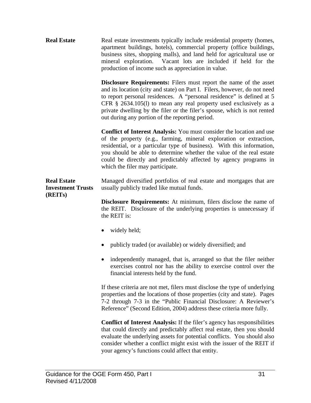<span id="page-33-0"></span>**Real Estate Real estate investments typically include residential property (homes,** apartment buildings, hotels), commercial property (office buildings, business sites, shopping malls), and land held for agricultural use or mineral exploration. Vacant lots are included if held for the production of income such as appreciation in value.

> **Disclosure Requirements:** Filers must report the name of the asset and its location (city and state) on Part I. Filers, however, do not need to report personal residences. A "personal residence" is defined at 5 CFR § 2634.105(l) to mean any real property used exclusively as a private dwelling by the filer or the filer's spouse, which is not rented out during any portion of the reporting period.

> **Conflict of Interest Analysis:** You must consider the location and use of the property (e.g., farming, mineral exploration or extraction, residential, or a particular type of business). With this information, you should be able to determine whether the value of the real estate could be directly and predictably affected by agency programs in which the filer may participate.

**Real Estate Investment Trusts**  Managed diversified portfolios of real estate and mortgages that are usually publicly traded like mutual funds.

> **Disclosure Requirements:** At minimum, filers disclose the name of the REIT. Disclosure of the underlying properties is unnecessary if the REIT is:

• widely held;

**(REITs)** 

- publicly traded (or available) or widely diversified; and
- independently managed, that is, arranged so that the filer neither exercises control nor has the ability to exercise control over the financial interests held by the fund.

If these criteria are not met, filers must disclose the type of underlying properties and the locations of those properties (city and state). Pages 7-2 through 7-3 in the "Public Financial Disclosure: A Reviewer's Reference" (Second Edition, 2004) address these criteria more fully.

**Conflict of Interest Analysis:** If the filer's agency has responsibilities that could directly and predictably affect real estate, then you should evaluate the underlying assets for potential conflicts. You should also consider whether a conflict might exist with the issuer of the REIT if your agency's functions could affect that entity.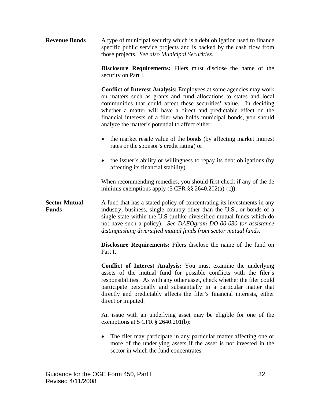<span id="page-34-0"></span>**Revenue Bonds** A type of municipal security which is a debt obligation used to finance specific public service projects and is backed by the cash flow from those projects. *See also Municipal Securities*.

> **Disclosure Requirements:** Filers must disclose the name of the security on Part I.

> **Conflict of Interest Analysis:** Employees at some agencies may work on matters such as grants and fund allocations to states and local communities that could affect these securities' value. In deciding whether a matter will have a direct and predictable effect on the financial interests of a filer who holds municipal bonds, you should analyze the matter's potential to affect either:

- the market resale value of the bonds (by affecting market interest rates or the sponsor's credit rating) or
- the issuer's ability or willingness to repay its debt obligations (by affecting its financial stability).

When recommending remedies, you should first check if any of the de minimis exemptions apply  $(5 \text{ CFR} \$ §§ 2640.202 $(a)-(c)$ ).

**Sector Mutual Funds**  A fund that has a stated policy of concentrating its investments in any industry, business, single country other than the U.S., or bonds of a single state within the U.S (unlike diversified mutual funds which do not have such a policy). *See DAEOgram DO-00-030 for assistance distinguishing diversified mutual funds from sector mutual funds.* 

> **Disclosure Requirements:** Filers disclose the name of the fund on Part I.

> **Conflict of Interest Analysis:** You must examine the underlying assets of the mutual fund for possible conflicts with the filer's responsibilities. As with any other asset, check whether the filer could participate personally and substantially in a particular matter that directly and predictably affects the filer's financial interests, either direct or imputed.

> An issue with an underlying asset may be eligible for one of the exemptions at 5 CFR § 2640.201(b):

> • The filer may participate in any particular matter affecting one or more of the underlying assets if the asset is not invested in the sector in which the fund concentrates.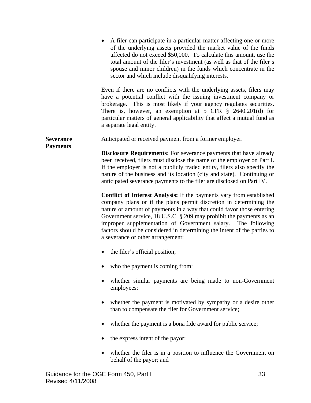<span id="page-35-0"></span>

|                                     | A filer can participate in a particular matter affecting one or more<br>of the underlying assets provided the market value of the funds<br>affected do not exceed \$50,000. To calculate this amount, use the<br>total amount of the filer's investment (as well as that of the filer's<br>spouse and minor children) in the funds which concentrate in the<br>sector and which include disqualifying interests.                                                                   |
|-------------------------------------|------------------------------------------------------------------------------------------------------------------------------------------------------------------------------------------------------------------------------------------------------------------------------------------------------------------------------------------------------------------------------------------------------------------------------------------------------------------------------------|
|                                     | Even if there are no conflicts with the underlying assets, filers may<br>have a potential conflict with the issuing investment company or<br>brokerage. This is most likely if your agency regulates securities.<br>There is, however, an exemption at 5 CFR $\S$ 2640.201(d) for<br>particular matters of general applicability that affect a mutual fund as<br>a separate legal entity.                                                                                          |
| <b>Severance</b><br><b>Payments</b> | Anticipated or received payment from a former employer.                                                                                                                                                                                                                                                                                                                                                                                                                            |
|                                     | <b>Disclosure Requirements:</b> For severance payments that have already<br>been received, filers must disclose the name of the employer on Part I.<br>If the employer is not a publicly traded entity, filers also specify the<br>nature of the business and its location (city and state). Continuing or<br>anticipated severance payments to the filer are disclosed on Part IV.                                                                                                |
|                                     | <b>Conflict of Interest Analysis:</b> If the payments vary from established<br>company plans or if the plans permit discretion in determining the<br>nature or amount of payments in a way that could favor those entering<br>Government service, 18 U.S.C. § 209 may prohibit the payments as an<br>improper supplementation of Government salary. The following<br>factors should be considered in determining the intent of the parties to<br>a severance or other arrangement: |
|                                     | the filer's official position;<br>$\bullet$                                                                                                                                                                                                                                                                                                                                                                                                                                        |
|                                     | who the payment is coming from;                                                                                                                                                                                                                                                                                                                                                                                                                                                    |
|                                     | whether similar payments are being made to non-Government<br>employees;                                                                                                                                                                                                                                                                                                                                                                                                            |
|                                     | whether the payment is motivated by sympathy or a desire other<br>than to compensate the filer for Government service;                                                                                                                                                                                                                                                                                                                                                             |
|                                     | whether the payment is a bona fide award for public service;                                                                                                                                                                                                                                                                                                                                                                                                                       |
|                                     | the express intent of the payor;                                                                                                                                                                                                                                                                                                                                                                                                                                                   |
|                                     | whether the filer is in a position to influence the Government on<br>behalf of the payor; and                                                                                                                                                                                                                                                                                                                                                                                      |
|                                     |                                                                                                                                                                                                                                                                                                                                                                                                                                                                                    |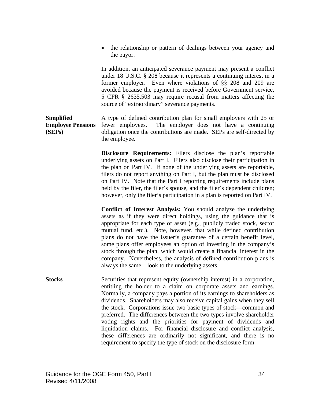<span id="page-36-0"></span>• the relationship or pattern of dealings between your agency and the payor.

In addition, an anticipated severance payment may present a conflict under 18 U.S.C. § 208 because it represents a continuing interest in a former employer. Even where violations of §§ 208 and 209 are avoided because the payment is received before Government service, 5 CFR § 2635.503 may require recusal from matters affecting the source of "extraordinary" severance payments.

#### **Simplified Employee Pensions (SEPs)**  A type of defined contribution plan for small employers with 25 or fewer employees. The employer does not have a continuing obligation once the contributions are made. SEPs are self-directed by the employee.

**Disclosure Requirements:** Filers disclose the plan's reportable underlying assets on Part I. Filers also disclose their participation in the plan on Part IV. If none of the underlying assets are reportable, filers do not report anything on Part I, but the plan must be disclosed on Part IV. Note that the Part I reporting requirements include plans held by the filer, the filer's spouse, and the filer's dependent children; however, only the filer's participation in a plan is reported on Part IV.

**Conflict of Interest Analysis:** You should analyze the underlying assets as if they were direct holdings, using the guidance that is appropriate for each type of asset (e.g., publicly traded stock, sector mutual fund, etc.). Note, however, that while defined contribution plans do not have the issuer's guarantee of a certain benefit level, some plans offer employees an option of investing in the company's stock through the plan, which would create a financial interest in the company. Nevertheless, the analysis of defined contribution plans is always the same—look to the underlying assets.

**Stocks** Securities that represent equity (ownership interest) in a corporation, entitling the holder to a claim on corporate assets and earnings. Normally, a company pays a portion of its earnings to shareholders as dividends. Shareholders may also receive capital gains when they sell the stock. Corporations issue two basic types of stock—common and preferred. The differences between the two types involve shareholder voting rights and the priorities for payment of dividends and liquidation claims. For financial disclosure and conflict analysis, these differences are ordinarily not significant, and there is no requirement to specify the type of stock on the disclosure form.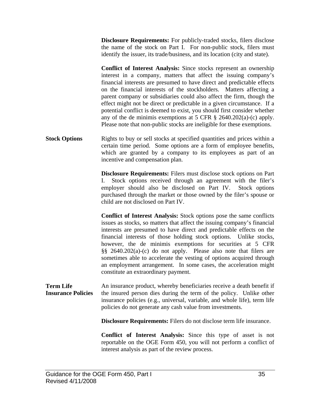<span id="page-37-0"></span>**Disclosure Requirements:** For publicly-traded stocks, filers disclose the name of the stock on Part I. For non-public stock, filers must identify the issuer, its trade/business, and its location (city and state).

**Conflict of Interest Analysis:** Since stocks represent an ownership interest in a company, matters that affect the issuing company's financial interests are presumed to have direct and predictable effects on the financial interests of the stockholders. Matters affecting a parent company or subsidiaries could also affect the firm, though the effect might not be direct or predictable in a given circumstance. If a potential conflict is deemed to exist, you should first consider whether any of the de minimis exemptions at 5 CFR § 2640.202(a)-(c) apply. Please note that non-public stocks are ineligible for these exemptions.

**Stock Options Rights to buy or sell stocks at specified quantities and prices within a** certain time period. Some options are a form of employee benefits, which are granted by a company to its employees as part of an incentive and compensation plan.

> **Disclosure Requirements:** Filers must disclose stock options on Part I. Stock options received through an agreement with the filer's employer should also be disclosed on Part IV. Stock options purchased through the market or those owned by the filer's spouse or child are not disclosed on Part IV.

**Conflict of Interest Analysis:** Stock options pose the same conflicts issues as stocks, so matters that affect the issuing company's financial interests are presumed to have direct and predictable effects on the financial interests of those holding stock options. Unlike stocks, however, the de minimis exemptions for securities at 5 CFR §§ 2640.202(a)-(c) do not apply. Please also note that filers are sometimes able to accelerate the vesting of options acquired through an employment arrangement. In some cases, the acceleration might constitute an extraordinary payment.

**Term Life Insurance Policies**  An insurance product, whereby beneficiaries receive a death benefit if the insured person dies during the term of the policy. Unlike other insurance policies (e.g., universal, variable, and whole life), term life policies do not generate any cash value from investments.

**Disclosure Requirements:** Filers do not disclose term life insurance.

**Conflict of Interest Analysis:** Since this type of asset is not reportable on the OGE Form 450, you will not perform a conflict of interest analysis as part of the review process.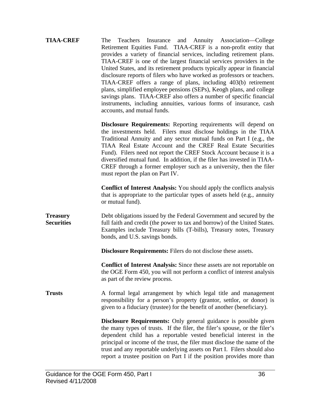<span id="page-38-0"></span>

| <b>TIAA-CREF</b>                     | Teachers Insurance and Annuity Association—College<br>The<br>Retirement Equities Fund. TIAA-CREF is a non-profit entity that<br>provides a variety of financial services, including retirement plans.<br>TIAA-CREF is one of the largest financial services providers in the<br>United States, and its retirement products typically appear in financial<br>disclosure reports of filers who have worked as professors or teachers.<br>TIAA-CREF offers a range of plans, including 403(b) retirement<br>plans, simplified employee pensions (SEPs), Keogh plans, and college<br>savings plans. TIAA-CREF also offers a number of specific financial<br>instruments, including annuities, various forms of insurance, cash<br>accounts, and mutual funds. |
|--------------------------------------|-----------------------------------------------------------------------------------------------------------------------------------------------------------------------------------------------------------------------------------------------------------------------------------------------------------------------------------------------------------------------------------------------------------------------------------------------------------------------------------------------------------------------------------------------------------------------------------------------------------------------------------------------------------------------------------------------------------------------------------------------------------|
|                                      | <b>Disclosure Requirements:</b> Reporting requirements will depend on<br>the investments held. Filers must disclose holdings in the TIAA<br>Traditional Annuity and any sector mutual funds on Part I (e.g., the<br>TIAA Real Estate Account and the CREF Real Estate Securities<br>Fund). Filers need not report the CREF Stock Account because it is a<br>diversified mutual fund. In addition, if the filer has invested in TIAA-<br>CREF through a former employer such as a university, then the filer<br>must report the plan on Part IV.                                                                                                                                                                                                           |
|                                      | <b>Conflict of Interest Analysis:</b> You should apply the conflicts analysis<br>that is appropriate to the particular types of assets held (e.g., annuity<br>or mutual fund).                                                                                                                                                                                                                                                                                                                                                                                                                                                                                                                                                                            |
| <b>Treasury</b><br><b>Securities</b> | Debt obligations issued by the Federal Government and secured by the<br>full faith and credit (the power to tax and borrow) of the United States.<br>Examples include Treasury bills (T-bills), Treasury notes, Treasury<br>bonds, and U.S. savings bonds.                                                                                                                                                                                                                                                                                                                                                                                                                                                                                                |
|                                      | <b>Disclosure Requirements:</b> Filers do not disclose these assets.                                                                                                                                                                                                                                                                                                                                                                                                                                                                                                                                                                                                                                                                                      |
|                                      | <b>Conflict of Interest Analysis:</b> Since these assets are not reportable on<br>the OGE Form 450, you will not perform a conflict of interest analysis<br>as part of the review process.                                                                                                                                                                                                                                                                                                                                                                                                                                                                                                                                                                |
| <b>Trusts</b>                        | A formal legal arrangement by which legal title and management<br>responsibility for a person's property (grantor, settlor, or donor) is<br>given to a fiduciary (trustee) for the benefit of another (beneficiary).                                                                                                                                                                                                                                                                                                                                                                                                                                                                                                                                      |
|                                      | <b>Disclosure Requirements:</b> Only general guidance is possible given<br>the many types of trusts. If the filer, the filer's spouse, or the filer's<br>dependent child has a reportable vested beneficial interest in the<br>principal or income of the trust, the filer must disclose the name of the<br>trust and any reportable underlying assets on Part I. Filers should also<br>report a trustee position on Part I if the position provides more than                                                                                                                                                                                                                                                                                            |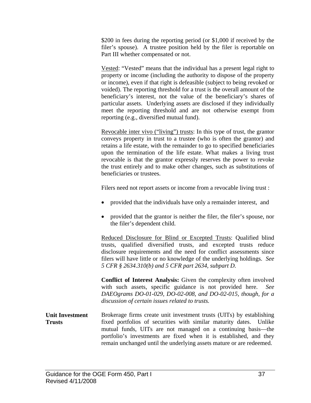<span id="page-39-0"></span>\$200 in fees during the reporting period (or \$1,000 if received by the filer's spouse). A trustee position held by the filer is reportable on Part III whether compensated or not.

Vested: "Vested" means that the individual has a present legal right to property or income (including the authority to dispose of the property or income), even if that right is defeasible (subject to being revoked or voided). The reporting threshold for a trust is the overall amount of the beneficiary's interest, not the value of the beneficiary's shares of particular assets. Underlying assets are disclosed if they individually meet the reporting threshold and are not otherwise exempt from reporting (e.g., diversified mutual fund).

Revocable inter vivo ("living") trusts: In this type of trust, the grantor conveys property in trust to a trustee (who is often the grantor) and retains a life estate, with the remainder to go to specified beneficiaries upon the termination of the life estate. What makes a living trust revocable is that the grantor expressly reserves the power to revoke the trust entirely and to make other changes, such as substitutions of beneficiaries or trustees.

Filers need not report assets or income from a revocable living trust :

- provided that the individuals have only a remainder interest, and
- provided that the grantor is neither the filer, the filer's spouse, nor the filer's dependent child.

Reduced Disclosure for Blind or Excepted Trusts: Qualified blind trusts, qualified diversified trusts, and excepted trusts reduce disclosure requirements and the need for conflict assessments since filers will have little or no knowledge of the underlying holdings. *See 5 CFR § 2634.310(b) and 5 CFR part 2634, subpart D.* 

**Conflict of Interest Analysis:** Given the complexity often involved with such assets, specific guidance is not provided here. *See DAEOgrams DO-01-029, DO-02-008, and DO-02-015, though, for a discussion of certain issues related to trusts.*

**Unit Investment Trusts**  Brokerage firms create unit investment trusts (UITs) by establishing fixed portfolios of securities with similar maturity dates. Unlike mutual funds, UITs are not managed on a continuing basis—the portfolio's investments are fixed when it is established, and they remain unchanged until the underlying assets mature or are redeemed.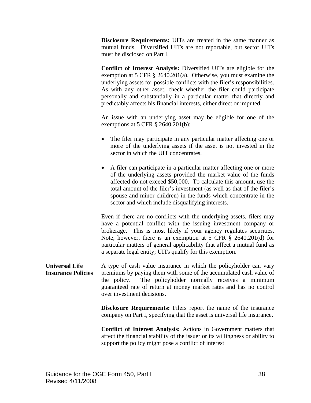<span id="page-40-0"></span>**Disclosure Requirements:** UITs are treated in the same manner as mutual funds. Diversified UITs are not reportable, but sector UITs must be disclosed on Part I.

**Conflict of Interest Analysis:** Diversified UITs are eligible for the exemption at 5 CFR § 2640.201(a). Otherwise, you must examine the underlying assets for possible conflicts with the filer's responsibilities. As with any other asset, check whether the filer could participate personally and substantially in a particular matter that directly and predictably affects his financial interests, either direct or imputed.

An issue with an underlying asset may be eligible for one of the exemptions at 5 CFR § 2640.201(b):

- The filer may participate in any particular matter affecting one or more of the underlying assets if the asset is not invested in the sector in which the UIT concentrates.
- A filer can participate in a particular matter affecting one or more of the underlying assets provided the market value of the funds affected do not exceed \$50,000. To calculate this amount, use the total amount of the filer's investment (as well as that of the filer's spouse and minor children) in the funds which concentrate in the sector and which include disqualifying interests.

Even if there are no conflicts with the underlying assets, filers may have a potential conflict with the issuing investment company or brokerage. This is most likely if your agency regulates securities. Note, however, there is an exemption at 5 CFR § 2640.201(d) for particular matters of general applicability that affect a mutual fund as a separate legal entity; UITs qualify for this exemption.

**Universal Life Insurance Policies**  A type of cash value insurance in which the policyholder can vary premiums by paying them with some of the accumulated cash value of the policy. The policyholder normally receives a minimum guaranteed rate of return at money market rates and has no control over investment decisions.

> **Disclosure Requirements:** Filers report the name of the insurance company on Part I, specifying that the asset is universal life insurance.

> **Conflict of Interest Analysis:** Actions in Government matters that affect the financial stability of the issuer or its willingness or ability to support the policy might pose a conflict of interest